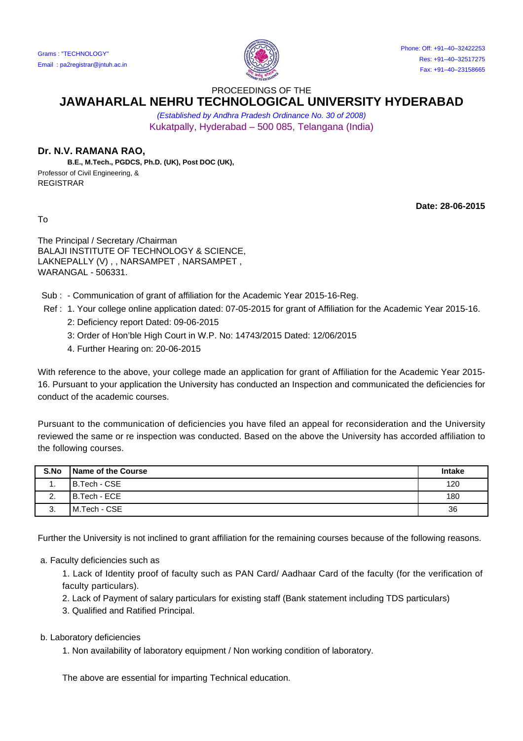

PROCEEDINGS OF THE

## **JAWAHARLAL NEHRU TECHNOLOGICAL UNIVERSITY HYDERABAD**

(Established by Andhra Pradesh Ordinance No. 30 of 2008) Kukatpally, Hyderabad – 500 085, Telangana (India)

## **Dr. N.V. RAMANA RAO,**

 **B.E., M.Tech., PGDCS, Ph.D. (UK), Post DOC (UK),** Professor of Civil Engineering, & REGISTRAR

To

**Date: 28-06-2015**

The Principal / Secretary /Chairman BALAJI INSTITUTE OF TECHNOLOGY & SCIENCE, LAKNEPALLY (V), , NARSAMPET, NARSAMPET, WARANGAL - 506331.

Sub : - Communication of grant of affiliation for the Academic Year 2015-16-Reg.

Ref : 1. Your college online application dated: 07-05-2015 for grant of Affiliation for the Academic Year 2015-16.

- 2: Deficiency report Dated: 09-06-2015
- 3: Order of Hon'ble High Court in W.P. No: 14743/2015 Dated: 12/06/2015
- 4. Further Hearing on: 20-06-2015

With reference to the above, your college made an application for grant of Affiliation for the Academic Year 2015- 16. Pursuant to your application the University has conducted an Inspection and communicated the deficiencies for conduct of the academic courses.

Pursuant to the communication of deficiencies you have filed an appeal for reconsideration and the University reviewed the same or re inspection was conducted. Based on the above the University has accorded affiliation to the following courses.

| S.No | l Name of the Course | <b>Intake</b> |
|------|----------------------|---------------|
|      | B.Tech - CSE         | 120           |
| Ζ.   | B.Tech - ECE         | 180           |
| J.   | M.Tech - CSE         | 36            |

Further the University is not inclined to grant affiliation for the remaining courses because of the following reasons.

a. Faculty deficiencies such as

1. Lack of Identity proof of faculty such as PAN Card/ Aadhaar Card of the faculty (for the verification of faculty particulars).

- 2. Lack of Payment of salary particulars for existing staff (Bank statement including TDS particulars)
- 3. Qualified and Ratified Principal.
- b. Laboratory deficiencies
	- 1. Non availability of laboratory equipment / Non working condition of laboratory.

The above are essential for imparting Technical education.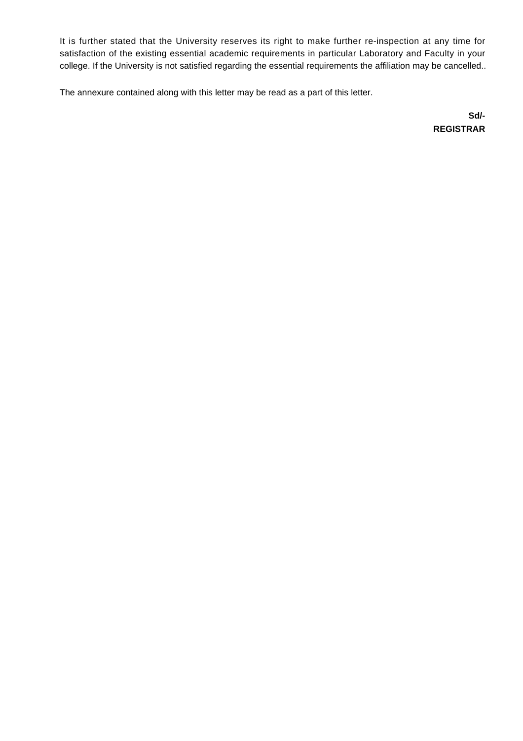It is further stated that the University reserves its right to make further re-inspection at any time for satisfaction of the existing essential academic requirements in particular Laboratory and Faculty in your college. If the University is not satisfied regarding the essential requirements the affiliation may be cancelled..

The annexure contained along with this letter may be read as a part of this letter.

**Sd/- REGISTRAR**